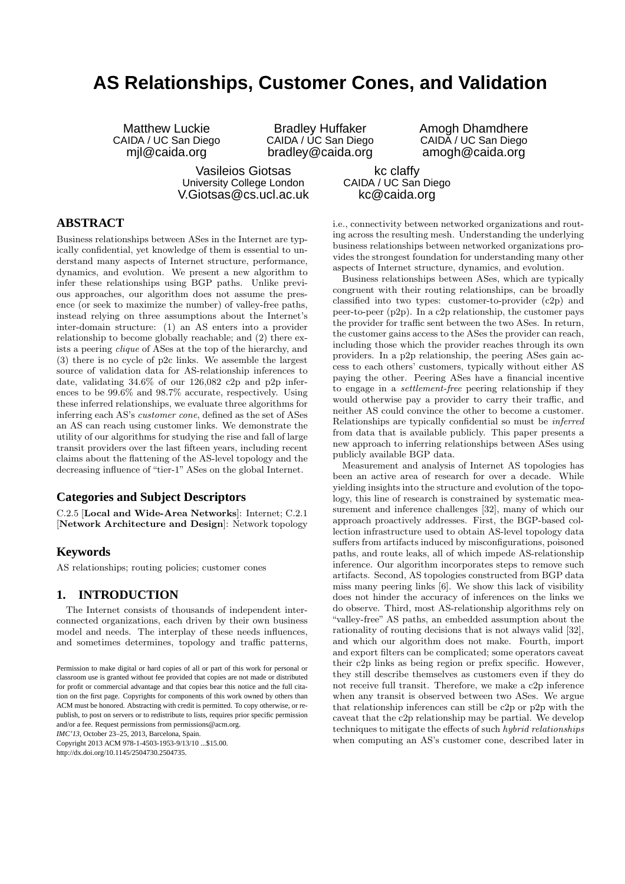# **AS Relationships, Customer Cones, and Validation**

Matthew Luckie CAIDA / UC San Diego mjl@caida.org

Bradley Huffaker CAIDA / ÚC San Diego bradley@caida.org

Amogh Dhamdhere CAIDA / UC San Diego amogh@caida.org

Vasileios Giotsas University College London V.Giotsas@cs.ucl.ac.uk

kc claffy CAIDA / UC San Diego kc@caida.org

# **ABSTRACT**

Business relationships between ASes in the Internet are typically confidential, yet knowledge of them is essential to understand many aspects of Internet structure, performance, dynamics, and evolution. We present a new algorithm to infer these relationships using BGP paths. Unlike previous approaches, our algorithm does not assume the presence (or seek to maximize the number) of valley-free paths, instead relying on three assumptions about the Internet's inter-domain structure: (1) an AS enters into a provider relationship to become globally reachable; and (2) there exists a peering clique of ASes at the top of the hierarchy, and (3) there is no cycle of p2c links. We assemble the largest source of validation data for AS-relationship inferences to date, validating 34.6% of our 126,082 c2p and p2p inferences to be 99.6% and 98.7% accurate, respectively. Using these inferred relationships, we evaluate three algorithms for inferring each AS's customer cone, defined as the set of ASes an AS can reach using customer links. We demonstrate the utility of our algorithms for studying the rise and fall of large transit providers over the last fifteen years, including recent claims about the flattening of the AS-level topology and the decreasing influence of "tier-1" ASes on the global Internet.

## **Categories and Subject Descriptors**

C.2.5 [Local and Wide-Area Networks]: Internet; C.2.1 [Network Architecture and Design]: Network topology

## **Keywords**

AS relationships; routing policies; customer cones

## **1. INTRODUCTION**

The Internet consists of thousands of independent interconnected organizations, each driven by their own business model and needs. The interplay of these needs influences, and sometimes determines, topology and traffic patterns,

*IMC'13,* October 23–25, 2013, Barcelona, Spain.

i.e., connectivity between networked organizations and routing across the resulting mesh. Understanding the underlying business relationships between networked organizations provides the strongest foundation for understanding many other aspects of Internet structure, dynamics, and evolution.

Business relationships between ASes, which are typically congruent with their routing relationships, can be broadly classified into two types: customer-to-provider (c2p) and peer-to-peer (p2p). In a c2p relationship, the customer pays the provider for traffic sent between the two ASes. In return, the customer gains access to the ASes the provider can reach, including those which the provider reaches through its own providers. In a p2p relationship, the peering ASes gain access to each others' customers, typically without either AS paying the other. Peering ASes have a financial incentive to engage in a settlement-free peering relationship if they would otherwise pay a provider to carry their traffic, and neither AS could convince the other to become a customer. Relationships are typically confidential so must be inferred from data that is available publicly. This paper presents a new approach to inferring relationships between ASes using publicly available BGP data.

Measurement and analysis of Internet AS topologies has been an active area of research for over a decade. While yielding insights into the structure and evolution of the topology, this line of research is constrained by systematic measurement and inference challenges [32], many of which our approach proactively addresses. First, the BGP-based collection infrastructure used to obtain AS-level topology data suffers from artifacts induced by misconfigurations, poisoned paths, and route leaks, all of which impede AS-relationship inference. Our algorithm incorporates steps to remove such artifacts. Second, AS topologies constructed from BGP data miss many peering links [6]. We show this lack of visibility does not hinder the accuracy of inferences on the links we do observe. Third, most AS-relationship algorithms rely on "valley-free" AS paths, an embedded assumption about the rationality of routing decisions that is not always valid [32], and which our algorithm does not make. Fourth, import and export filters can be complicated; some operators caveat their c2p links as being region or prefix specific. However, they still describe themselves as customers even if they do not receive full transit. Therefore, we make a c2p inference when any transit is observed between two ASes. We argue that relationship inferences can still be c2p or p2p with the caveat that the c2p relationship may be partial. We develop techniques to mitigate the effects of such hybrid relationships when computing an AS's customer cone, described later in

Permission to make digital or hard copies of all or part of this work for personal or classroom use is granted without fee provided that copies are not made or distributed for profit or commercial advantage and that copies bear this notice and the full citation on the first page. Copyrights for components of this work owned by others than ACM must be honored. Abstracting with credit is permitted. To copy otherwise, or republish, to post on servers or to redistribute to lists, requires prior specific permission and/or a fee. Request permissions from permissions@acm.org.

Copyright 2013 ACM 978-1-4503-1953-9/13/10 ...\$15.00. http://dx.doi.org/10.1145/2504730.2504735.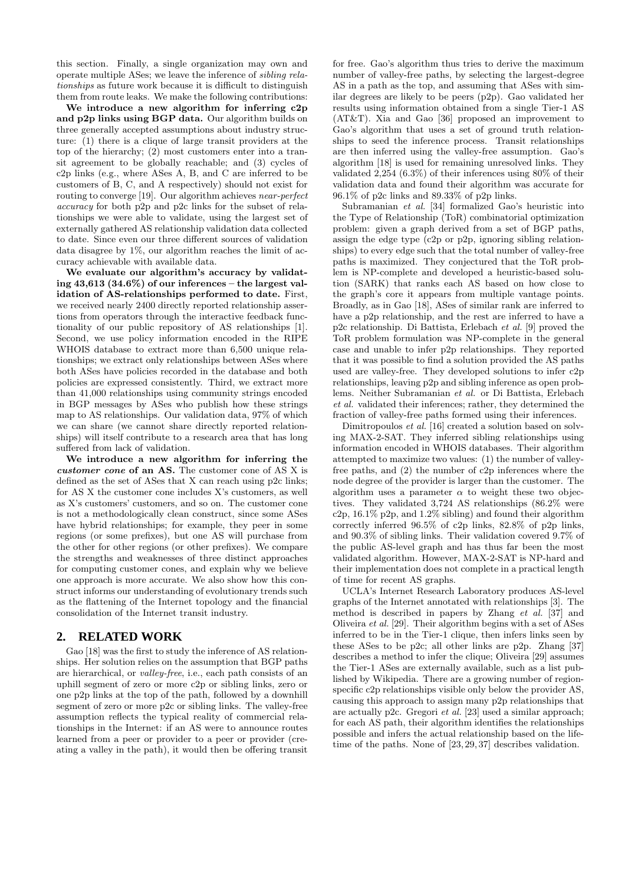this section. Finally, a single organization may own and operate multiple ASes; we leave the inference of sibling relationships as future work because it is difficult to distinguish them from route leaks. We make the following contributions:

We introduce a new algorithm for inferring c2p and p2p links using BGP data. Our algorithm builds on three generally accepted assumptions about industry structure: (1) there is a clique of large transit providers at the top of the hierarchy; (2) most customers enter into a transit agreement to be globally reachable; and (3) cycles of c2p links (e.g., where ASes A, B, and C are inferred to be customers of B, C, and A respectively) should not exist for routing to converge [19]. Our algorithm achieves near-perfect accuracy for both p2p and p2c links for the subset of relationships we were able to validate, using the largest set of externally gathered AS relationship validation data collected to date. Since even our three different sources of validation data disagree by 1%, our algorithm reaches the limit of accuracy achievable with available data.

We evaluate our algorithm's accuracy by validating 43,613 (34.6%) of our inferences – the largest validation of AS-relationships performed to date. First, we received nearly 2400 directly reported relationship assertions from operators through the interactive feedback functionality of our public repository of AS relationships [1]. Second, we use policy information encoded in the RIPE WHOIS database to extract more than 6,500 unique relationships; we extract only relationships between ASes where both ASes have policies recorded in the database and both policies are expressed consistently. Third, we extract more than 41,000 relationships using community strings encoded in BGP messages by ASes who publish how these strings map to AS relationships. Our validation data, 97% of which we can share (we cannot share directly reported relationships) will itself contribute to a research area that has long suffered from lack of validation.

We introduce a new algorithm for inferring the customer cone of an AS. The customer cone of AS X is defined as the set of ASes that X can reach using p2c links; for AS X the customer cone includes X's customers, as well as X's customers' customers, and so on. The customer cone is not a methodologically clean construct, since some ASes have hybrid relationships; for example, they peer in some regions (or some prefixes), but one AS will purchase from the other for other regions (or other prefixes). We compare the strengths and weaknesses of three distinct approaches for computing customer cones, and explain why we believe one approach is more accurate. We also show how this construct informs our understanding of evolutionary trends such as the flattening of the Internet topology and the financial consolidation of the Internet transit industry.

## **2. RELATED WORK**

Gao [18] was the first to study the inference of AS relationships. Her solution relies on the assumption that BGP paths are hierarchical, or valley-free, i.e., each path consists of an uphill segment of zero or more c2p or sibling links, zero or one p2p links at the top of the path, followed by a downhill segment of zero or more p2c or sibling links. The valley-free assumption reflects the typical reality of commercial relationships in the Internet: if an AS were to announce routes learned from a peer or provider to a peer or provider (creating a valley in the path), it would then be offering transit

for free. Gao's algorithm thus tries to derive the maximum number of valley-free paths, by selecting the largest-degree AS in a path as the top, and assuming that ASes with similar degrees are likely to be peers (p2p). Gao validated her results using information obtained from a single Tier-1 AS (AT&T). Xia and Gao [36] proposed an improvement to Gao's algorithm that uses a set of ground truth relationships to seed the inference process. Transit relationships are then inferred using the valley-free assumption. Gao's algorithm [18] is used for remaining unresolved links. They validated 2,254 (6.3%) of their inferences using 80% of their validation data and found their algorithm was accurate for 96.1% of p2c links and 89.33% of p2p links.

Subramanian et al. [34] formalized Gao's heuristic into the Type of Relationship (ToR) combinatorial optimization problem: given a graph derived from a set of BGP paths, assign the edge type (c2p or p2p, ignoring sibling relationships) to every edge such that the total number of valley-free paths is maximized. They conjectured that the ToR problem is NP-complete and developed a heuristic-based solution (SARK) that ranks each AS based on how close to the graph's core it appears from multiple vantage points. Broadly, as in Gao [18], ASes of similar rank are inferred to have a p2p relationship, and the rest are inferred to have a p2c relationship. Di Battista, Erlebach et al. [9] proved the ToR problem formulation was NP-complete in the general case and unable to infer p2p relationships. They reported that it was possible to find a solution provided the AS paths used are valley-free. They developed solutions to infer c2p relationships, leaving p2p and sibling inference as open problems. Neither Subramanian et al. or Di Battista, Erlebach et al. validated their inferences; rather, they determined the fraction of valley-free paths formed using their inferences.

Dimitropoulos et al. [16] created a solution based on solving MAX-2-SAT. They inferred sibling relationships using information encoded in WHOIS databases. Their algorithm attempted to maximize two values: (1) the number of valleyfree paths, and (2) the number of c2p inferences where the node degree of the provider is larger than the customer. The algorithm uses a parameter  $\alpha$  to weight these two objectives. They validated 3,724 AS relationships (86.2% were  $c2p$ ,  $16.1\%$  p2p, and  $1.2\%$  sibling) and found their algorithm correctly inferred 96.5% of c2p links, 82.8% of p2p links, and 90.3% of sibling links. Their validation covered 9.7% of the public AS-level graph and has thus far been the most validated algorithm. However, MAX-2-SAT is NP-hard and their implementation does not complete in a practical length of time for recent AS graphs.

UCLA's Internet Research Laboratory produces AS-level graphs of the Internet annotated with relationships [3]. The method is described in papers by Zhang et al. [37] and Oliveira et al. [29]. Their algorithm begins with a set of ASes inferred to be in the Tier-1 clique, then infers links seen by these ASes to be p2c; all other links are p2p. Zhang [37] describes a method to infer the clique; Oliveira [29] assumes the Tier-1 ASes are externally available, such as a list published by Wikipedia. There are a growing number of regionspecific c2p relationships visible only below the provider AS. causing this approach to assign many p2p relationships that are actually p2c. Gregori et al. [23] used a similar approach; for each AS path, their algorithm identifies the relationships possible and infers the actual relationship based on the lifetime of the paths. None of [23, 29, 37] describes validation.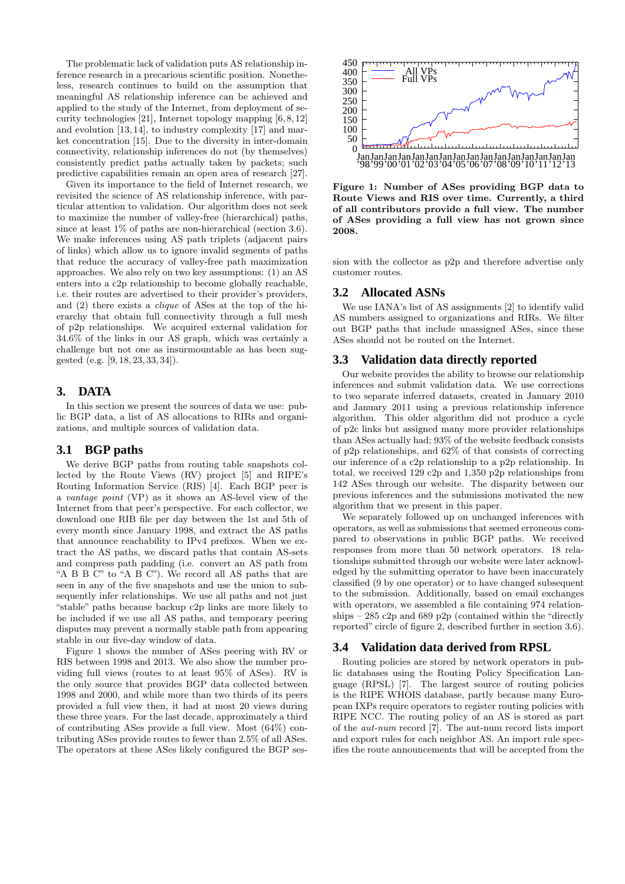The problematic lack of validation puts AS relationship inference research in a precarious scientific position. Nonetheless, research continues to build on the assumption that meaningful AS relationship inference can be achieved and applied to the study of the Internet, from deployment of security technologies [21], Internet topology mapping [6, 8,12] and evolution [13, 14], to industry complexity [17] and market concentration [15]. Due to the diversity in inter-domain connectivity, relationship inferences do not (by themselves) consistently predict paths actually taken by packets; such predictive capabilities remain an open area of research [27].

Given its importance to the field of Internet research, we revisited the science of AS relationship inference, with particular attention to validation. Our algorithm does not seek to maximize the number of valley-free (hierarchical) paths, since at least 1\% of paths are non-hierarchical (section 3.6). We make inferences using AS path triplets (adjacent pairs of links) which allow us to ignore invalid segments of paths that reduce the accuracy of valley-free path maximization approaches. We also rely on two key assumptions: (1) an AS enters into a c2p relationship to become globally reachable, i.e. their routes are advertised to their provider's providers, and (2) there exists a clique of ASes at the top of the hierarchy that obtain full connectivity through a full mesh of p2p relationships. We acquired external validation for 34.6% of the links in our AS graph, which was certainly a challenge but not one as insurmountable as has been suggested (e.g. [9, 18, 23, 33, 34]).

## **3. DATA**

In this section we present the sources of data we use: public BGP data, a list of AS allocations to RIRs and organizations, and multiple sources of validation data.

#### **3.1 BGP paths**

We derive BGP paths from routing table snapshots collected by the Route Views (RV) project [5] and RIPE's Routing Information Service (RIS) [4]. Each BGP peer is a vantage point (VP) as it shows an AS-level view of the Internet from that peer's perspective. For each collector, we download one RIB file per day between the 1st and 5th of every month since January 1998, and extract the AS paths that announce reachability to IPv4 prefixes. When we extract the AS paths, we discard paths that contain AS-sets and compress path padding (i.e. convert an AS path from "A B B C" to "A B C"). We record all AS paths that are seen in any of the five snapshots and use the union to subsequently infer relationships. We use all paths and not just "stable" paths because backup c2p links are more likely to be included if we use all AS paths, and temporary peering disputes may prevent a normally stable path from appearing stable in our five-day window of data.

Figure 1 shows the number of ASes peering with RV or RIS between 1998 and 2013. We also show the number providing full views (routes to at least 95% of ASes). RV is the only source that provides BGP data collected between 1998 and 2000, and while more than two thirds of its peers provided a full view then, it had at most 20 views during these three years. For the last decade, approximately a third of contributing ASes provide a full view. Most (64%) contributing ASes provide routes to fewer than 2.5% of all ASes. The operators at these ASes likely configured the BGP ses-



Figure 1: Number of ASes providing BGP data to Route Views and RIS over time. Currently, a third of all contributors provide a full view. The number of ASes providing a full view has not grown since 2008.

sion with the collector as p2p and therefore advertise only customer routes.

## **3.2 Allocated ASNs**

We use IANA's list of AS assignments [2] to identify valid AS numbers assigned to organizations and RIRs. We filter out BGP paths that include unassigned ASes, since these ASes should not be routed on the Internet.

#### **3.3 Validation data directly reported**

Our website provides the ability to browse our relationship inferences and submit validation data. We use corrections to two separate inferred datasets, created in January 2010 and January 2011 using a previous relationship inference algorithm. This older algorithm did not produce a cycle of p2c links but assigned many more provider relationships than ASes actually had; 93% of the website feedback consists of p2p relationships, and 62% of that consists of correcting our inference of a c2p relationship to a p2p relationship. In total, we received 129 c2p and 1,350 p2p relationships from 142 ASes through our website. The disparity between our previous inferences and the submissions motivated the new algorithm that we present in this paper.

We separately followed up on unchanged inferences with operators, as well as submissions that seemed erroneous compared to observations in public BGP paths. We received responses from more than 50 network operators. 18 relationships submitted through our website were later acknowledged by the submitting operator to have been inaccurately classified (9 by one operator) or to have changed subsequent to the submission. Additionally, based on email exchanges with operators, we assembled a file containing 974 relationships  $-285$  c2p and 689 p2p (contained within the "directly reported" circle of figure 2, described further in section 3.6).

## **3.4 Validation data derived from RPSL**

Routing policies are stored by network operators in public databases using the Routing Policy Specification Language (RPSL) [7]. The largest source of routing policies is the RIPE WHOIS database, partly because many European IXPs require operators to register routing policies with RIPE NCC. The routing policy of an AS is stored as part of the aut-num record [7]. The aut-num record lists import and export rules for each neighbor AS. An import rule specifies the route announcements that will be accepted from the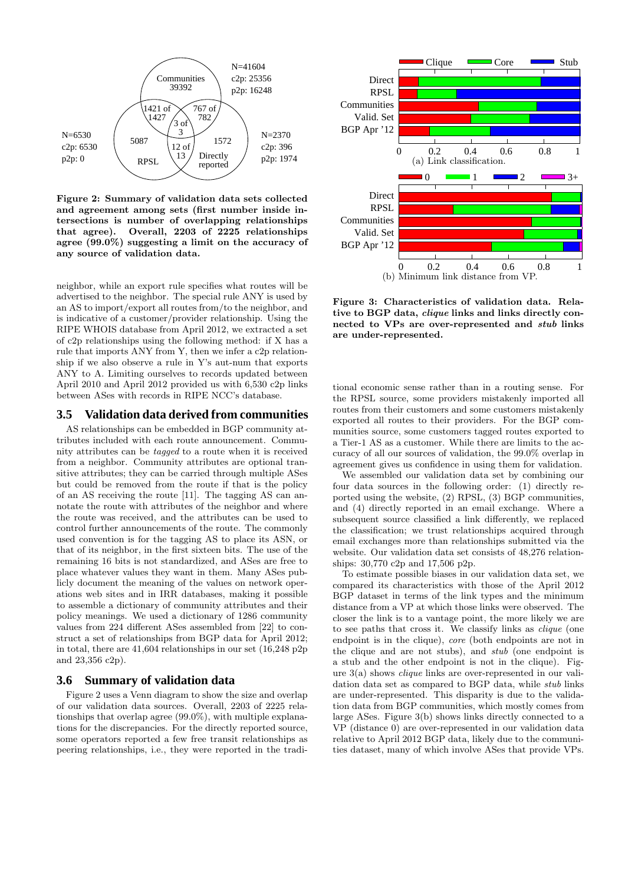

Figure 2: Summary of validation data sets collected and agreement among sets (first number inside intersections is number of overlapping relationships that agree). Overall, 2203 of 2225 relationships agree (99.0%) suggesting a limit on the accuracy of any source of validation data.

neighbor, while an export rule specifies what routes will be advertised to the neighbor. The special rule ANY is used by an AS to import/export all routes from/to the neighbor, and is indicative of a customer/provider relationship. Using the RIPE WHOIS database from April 2012, we extracted a set of c2p relationships using the following method: if X has a rule that imports ANY from Y, then we infer a c2p relationship if we also observe a rule in Y's aut-num that exports ANY to A. Limiting ourselves to records updated between April 2010 and April 2012 provided us with 6,530 c2p links between ASes with records in RIPE NCC's database.

#### **3.5 Validation data derived from communities**

AS relationships can be embedded in BGP community attributes included with each route announcement. Community attributes can be tagged to a route when it is received from a neighbor. Community attributes are optional transitive attributes; they can be carried through multiple ASes but could be removed from the route if that is the policy of an AS receiving the route [11]. The tagging AS can annotate the route with attributes of the neighbor and where the route was received, and the attributes can be used to control further announcements of the route. The commonly used convention is for the tagging AS to place its ASN, or that of its neighbor, in the first sixteen bits. The use of the remaining 16 bits is not standardized, and ASes are free to place whatever values they want in them. Many ASes publicly document the meaning of the values on network operations web sites and in IRR databases, making it possible to assemble a dictionary of community attributes and their policy meanings. We used a dictionary of 1286 community values from 224 different ASes assembled from [22] to construct a set of relationships from BGP data for April 2012; in total, there are 41,604 relationships in our set (16,248 p2p and 23,356 c2p).

#### **3.6 Summary of validation data**

Figure 2 uses a Venn diagram to show the size and overlap of our validation data sources. Overall, 2203 of 2225 relationships that overlap agree (99.0%), with multiple explanations for the discrepancies. For the directly reported source, some operators reported a few free transit relationships as peering relationships, i.e., they were reported in the tradi-



Figure 3: Characteristics of validation data. Relative to BGP data, clique links and links directly connected to VPs are over-represented and stub links are under-represented.

tional economic sense rather than in a routing sense. For the RPSL source, some providers mistakenly imported all routes from their customers and some customers mistakenly exported all routes to their providers. For the BGP communities source, some customers tagged routes exported to a Tier-1 AS as a customer. While there are limits to the accuracy of all our sources of validation, the 99.0% overlap in agreement gives us confidence in using them for validation.

We assembled our validation data set by combining our four data sources in the following order: (1) directly reported using the website, (2) RPSL, (3) BGP communities, and (4) directly reported in an email exchange. Where a subsequent source classified a link differently, we replaced the classification; we trust relationships acquired through email exchanges more than relationships submitted via the website. Our validation data set consists of 48,276 relationships: 30,770 c2p and 17,506 p2p.

To estimate possible biases in our validation data set, we compared its characteristics with those of the April 2012 BGP dataset in terms of the link types and the minimum distance from a VP at which those links were observed. The closer the link is to a vantage point, the more likely we are to see paths that cross it. We classify links as clique (one endpoint is in the clique), *core* (both endpoints are not in the clique and are not stubs), and stub (one endpoint is a stub and the other endpoint is not in the clique). Figure  $3(a)$  shows *clique* links are over-represented in our validation data set as compared to BGP data, while stub links are under-represented. This disparity is due to the validation data from BGP communities, which mostly comes from large ASes. Figure 3(b) shows links directly connected to a VP (distance 0) are over-represented in our validation data relative to April 2012 BGP data, likely due to the communities dataset, many of which involve ASes that provide VPs.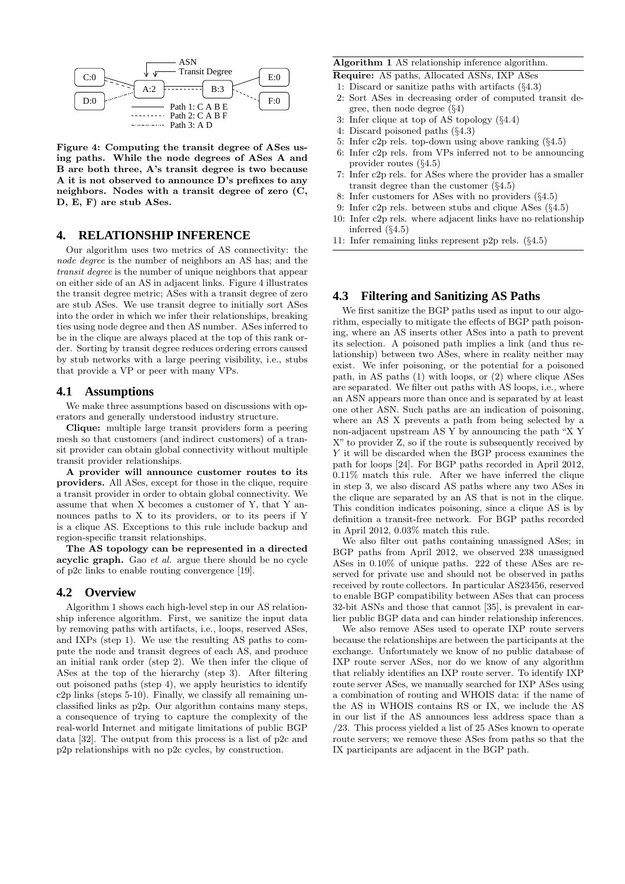

Figure 4: Computing the transit degree of ASes using paths. While the node degrees of ASes A and B are both three, A's transit degree is two because A it is not observed to announce D's prefixes to any neighbors. Nodes with a transit degree of zero (C, D, E, F) are stub ASes.

## **4. RELATIONSHIP INFERENCE**

Our algorithm uses two metrics of AS connectivity: the node degree is the number of neighbors an AS has; and the transit degree is the number of unique neighbors that appear on either side of an AS in adjacent links. Figure 4 illustrates the transit degree metric; ASes with a transit degree of zero are stub ASes. We use transit degree to initially sort ASes into the order in which we infer their relationships, breaking ties using node degree and then AS number. ASes inferred to be in the clique are always placed at the top of this rank order. Sorting by transit degree reduces ordering errors caused by stub networks with a large peering visibility, i.e., stubs that provide a VP or peer with many VPs.

#### **4.1 Assumptions**

We make three assumptions based on discussions with operators and generally understood industry structure.

Clique: multiple large transit providers form a peering mesh so that customers (and indirect customers) of a transit provider can obtain global connectivity without multiple transit provider relationships.

A provider will announce customer routes to its providers. All ASes, except for those in the clique, require a transit provider in order to obtain global connectivity. We assume that when X becomes a customer of Y, that Y announces paths to X to its providers, or to its peers if Y is a clique AS. Exceptions to this rule include backup and region-specific transit relationships.

The AS topology can be represented in a directed acyclic graph. Gao et al. argue there should be no cycle of p2c links to enable routing convergence [19].

#### **4.2 Overview**

Algorithm 1 shows each high-level step in our AS relationship inference algorithm. First, we sanitize the input data by removing paths with artifacts, i.e., loops, reserved ASes, and IXPs (step 1). We use the resulting AS paths to compute the node and transit degrees of each AS, and produce an initial rank order (step 2). We then infer the clique of ASes at the top of the hierarchy (step 3). After filtering out poisoned paths (step 4), we apply heuristics to identify c2p links (steps 5-10). Finally, we classify all remaining unclassified links as p2p. Our algorithm contains many steps, a consequence of trying to capture the complexity of the real-world Internet and mitigate limitations of public BGP data [32]. The output from this process is a list of p2c and p2p relationships with no p2c cycles, by construction.

#### Algorithm 1 AS relationship inference algorithm.

Require: AS paths, Allocated ASNs, IXP ASes

- 1: Discard or sanitize paths with artifacts (§4.3)
- 2: Sort ASes in decreasing order of computed transit degree, then node degree (§4)
- 3: Infer clique at top of AS topology (§4.4)
- 4: Discard poisoned paths (§4.3)
- 5: Infer c2p rels. top-down using above ranking (§4.5)
- 6: Infer c2p rels. from VPs inferred not to be announcing provider routes (§4.5)
- 7: Infer c2p rels. for ASes where the provider has a smaller transit degree than the customer (§4.5)
- 8: Infer customers for ASes with no providers (§4.5)
- 9: Infer c2p rels. between stubs and clique ASes (§4.5)
- 10: Infer c2p rels. where adjacent links have no relationship inferred (§4.5)
- 11: Infer remaining links represent p2p rels. (§4.5)

#### **4.3 Filtering and Sanitizing AS Paths**

We first sanitize the BGP paths used as input to our algorithm, especially to mitigate the effects of BGP path poisoning, where an AS inserts other ASes into a path to prevent its selection. A poisoned path implies a link (and thus relationship) between two ASes, where in reality neither may exist. We infer poisoning, or the potential for a poisoned path, in AS paths (1) with loops, or (2) where clique ASes are separated. We filter out paths with AS loops, i.e., where an ASN appears more than once and is separated by at least one other ASN. Such paths are an indication of poisoning, where an AS X prevents a path from being selected by a non-adjacent upstream AS Y by announcing the path "X Y X" to provider Z, so if the route is subsequently received by Y it will be discarded when the BGP process examines the path for loops [24]. For BGP paths recorded in April 2012, 0.11% match this rule. After we have inferred the clique in step 3, we also discard AS paths where any two ASes in the clique are separated by an AS that is not in the clique. This condition indicates poisoning, since a clique AS is by definition a transit-free network. For BGP paths recorded in April 2012, 0.03% match this rule.

We also filter out paths containing unassigned ASes; in BGP paths from April 2012, we observed 238 unassigned ASes in 0.10% of unique paths. 222 of these ASes are reserved for private use and should not be observed in paths received by route collectors. In particular AS23456, reserved to enable BGP compatibility between ASes that can process 32-bit ASNs and those that cannot [35], is prevalent in earlier public BGP data and can hinder relationship inferences.

We also remove ASes used to operate IXP route servers because the relationships are between the participants at the exchange. Unfortunately we know of no public database of IXP route server ASes, nor do we know of any algorithm that reliably identifies an IXP route server. To identify IXP route server ASes, we manually searched for IXP ASes using a combination of routing and WHOIS data: if the name of the AS in WHOIS contains RS or IX, we include the AS in our list if the AS announces less address space than a /23. This process yielded a list of 25 ASes known to operate route servers; we remove these ASes from paths so that the IX participants are adjacent in the BGP path.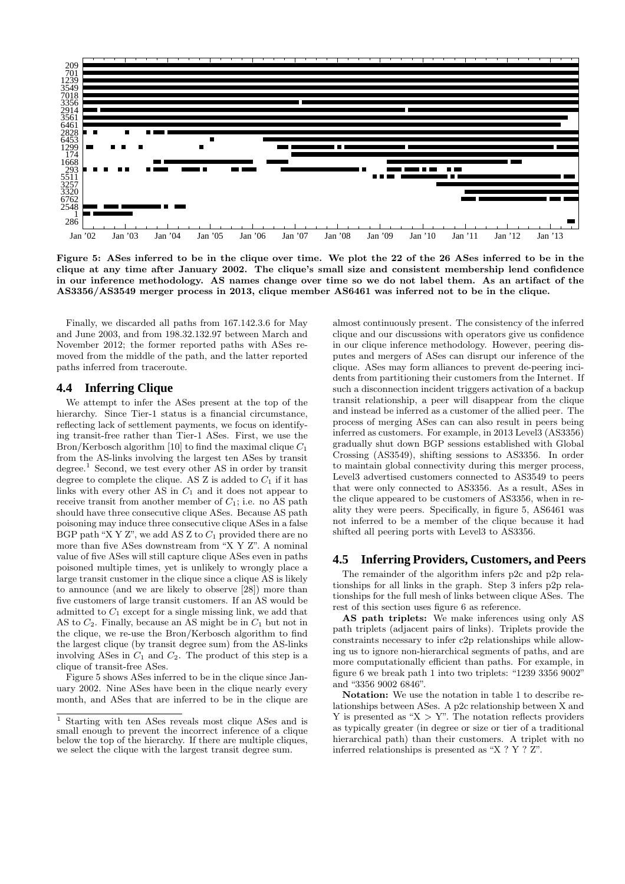

Figure 5: ASes inferred to be in the clique over time. We plot the 22 of the 26 ASes inferred to be in the clique at any time after January 2002. The clique's small size and consistent membership lend confidence in our inference methodology. AS names change over time so we do not label them. As an artifact of the AS3356/AS3549 merger process in 2013, clique member AS6461 was inferred not to be in the clique.

Finally, we discarded all paths from 167.142.3.6 for May and June 2003, and from 198.32.132.97 between March and November 2012; the former reported paths with ASes removed from the middle of the path, and the latter reported paths inferred from traceroute.

#### **4.4 Inferring Clique**

We attempt to infer the ASes present at the top of the hierarchy. Since Tier-1 status is a financial circumstance, reflecting lack of settlement payments, we focus on identifying transit-free rather than Tier-1 ASes. First, we use the Bron/Kerbosch algorithm [10] to find the maximal clique  $C_1$ from the AS-links involving the largest ten ASes by transit degree.<sup>1</sup> Second, we test every other AS in order by transit degree to complete the clique. AS Z is added to  $C_1$  if it has links with every other AS in  $C_1$  and it does not appear to receive transit from another member of  $C_1$ ; i.e. no AS path should have three consecutive clique ASes. Because AS path poisoning may induce three consecutive clique ASes in a false BGP path "X Y Z", we add AS Z to  $C_1$  provided there are no more than five ASes downstream from "X Y Z". A nominal value of five ASes will still capture clique ASes even in paths poisoned multiple times, yet is unlikely to wrongly place a large transit customer in the clique since a clique AS is likely to announce (and we are likely to observe [28]) more than five customers of large transit customers. If an AS would be admitted to  $C_1$  except for a single missing link, we add that AS to  $C_2$ . Finally, because an AS might be in  $C_1$  but not in the clique, we re-use the Bron/Kerbosch algorithm to find the largest clique (by transit degree sum) from the AS-links involving ASes in  $C_1$  and  $C_2$ . The product of this step is a clique of transit-free ASes.

Figure 5 shows ASes inferred to be in the clique since January 2002. Nine ASes have been in the clique nearly every month, and ASes that are inferred to be in the clique are

almost continuously present. The consistency of the inferred clique and our discussions with operators give us confidence in our clique inference methodology. However, peering disputes and mergers of ASes can disrupt our inference of the clique. ASes may form alliances to prevent de-peering incidents from partitioning their customers from the Internet. If such a disconnection incident triggers activation of a backup transit relationship, a peer will disappear from the clique and instead be inferred as a customer of the allied peer. The process of merging ASes can can also result in peers being inferred as customers. For example, in 2013 Level3 (AS3356) gradually shut down BGP sessions established with Global Crossing (AS3549), shifting sessions to AS3356. In order to maintain global connectivity during this merger process, Level3 advertised customers connected to AS3549 to peers that were only connected to AS3356. As a result, ASes in the clique appeared to be customers of AS3356, when in reality they were peers. Specifically, in figure 5, AS6461 was not inferred to be a member of the clique because it had shifted all peering ports with Level3 to AS3356.

## **4.5 Inferring Providers, Customers, and Peers**

The remainder of the algorithm infers p2c and p2p relationships for all links in the graph. Step 3 infers p2p relationships for the full mesh of links between clique ASes. The rest of this section uses figure 6 as reference.

AS path triplets: We make inferences using only AS path triplets (adjacent pairs of links). Triplets provide the constraints necessary to infer c2p relationships while allowing us to ignore non-hierarchical segments of paths, and are more computationally efficient than paths. For example, in figure 6 we break path 1 into two triplets: "1239 3356 9002" and "3356 9002 6846".

Notation: We use the notation in table 1 to describe relationships between ASes. A p2c relationship between X and Y is presented as " $X > Y$ ". The notation reflects providers as typically greater (in degree or size or tier of a traditional hierarchical path) than their customers. A triplet with no inferred relationships is presented as "X ? Y ? Z".

<sup>&</sup>lt;sup>1</sup> Starting with ten ASes reveals most clique ASes and is small enough to prevent the incorrect inference of a clique below the top of the hierarchy. If there are multiple cliques, we select the clique with the largest transit degree sum.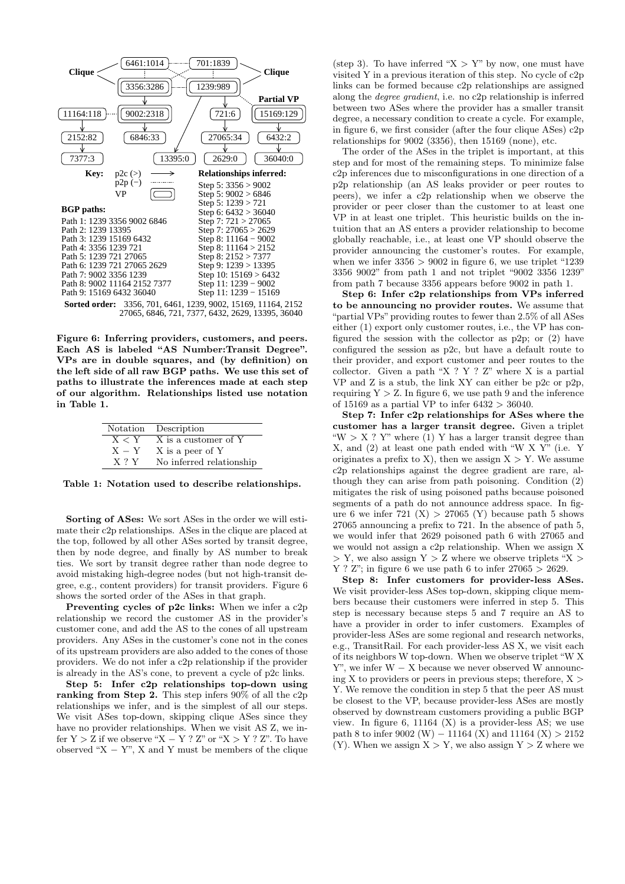

Figure 6: Inferring providers, customers, and peers. Each AS is labeled "AS Number:Transit Degree". VPs are in double squares, and (by definition) on the left side of all raw BGP paths. We use this set of paths to illustrate the inferences made at each step of our algorithm. Relationships listed use notation in Table 1.

| Notation | Description              |
|----------|--------------------------|
| X < Y    | X is a customer of Y     |
| $X - Y$  | X is a peer of Y         |
| X?Y      | No inferred relationship |

Table 1: Notation used to describe relationships.

Sorting of ASes: We sort ASes in the order we will estimate their c2p relationships. ASes in the clique are placed at the top, followed by all other ASes sorted by transit degree, then by node degree, and finally by AS number to break ties. We sort by transit degree rather than node degree to avoid mistaking high-degree nodes (but not high-transit degree, e.g., content providers) for transit providers. Figure 6 shows the sorted order of the ASes in that graph.

Preventing cycles of p2c links: When we infer a c2p relationship we record the customer AS in the provider's customer cone, and add the AS to the cones of all upstream providers. Any ASes in the customer's cone not in the cones of its upstream providers are also added to the cones of those providers. We do not infer a c2p relationship if the provider is already in the AS's cone, to prevent a cycle of p2c links.

Step 5: Infer c2p relationships top-down using ranking from Step 2. This step infers 90% of all the c2p relationships we infer, and is the simplest of all our steps. We visit ASes top-down, skipping clique ASes since they have no provider relationships. When we visit AS Z, we infer Y > Z if we observe "X – Y ? Z" or "X > Y ? Z". To have observed " $X - Y$ ", X and Y must be members of the clique

(step 3). To have inferred " $X > Y$ " by now, one must have visited Y in a previous iteration of this step. No cycle of c2p links can be formed because c2p relationships are assigned along the degree gradient, i.e. no c2p relationship is inferred between two ASes where the provider has a smaller transit degree, a necessary condition to create a cycle. For example, in figure 6, we first consider (after the four clique ASes) c2p relationships for 9002 (3356), then 15169 (none), etc.

The order of the ASes in the triplet is important, at this step and for most of the remaining steps. To minimize false c2p inferences due to misconfigurations in one direction of a p2p relationship (an AS leaks provider or peer routes to peers), we infer a c2p relationship when we observe the provider or peer closer than the customer to at least one VP in at least one triplet. This heuristic builds on the intuition that an AS enters a provider relationship to become globally reachable, i.e., at least one VP should observe the provider announcing the customer's routes. For example, when we infer  $3356 > 9002$  in figure 6, we use triplet "1239" 3356 9002" from path 1 and not triplet "9002 3356 1239" from path 7 because 3356 appears before 9002 in path 1.

Step 6: Infer c2p relationships from VPs inferred to be announcing no provider routes. We assume that "partial VPs" providing routes to fewer than 2.5% of all ASes either (1) export only customer routes, i.e., the VP has configured the session with the collector as p2p; or (2) have configured the session as p2c, but have a default route to their provider, and export customer and peer routes to the collector. Given a path "X  $?$  Y  $?$  Z" where X is a partial VP and Z is a stub, the link XY can either be p2c or p2p, requiring  $Y > Z$ . In figure 6, we use path 9 and the inference of 15169 as a partial VP to infer  $6432 > 36040$ .

Step 7: Infer c2p relationships for ASes where the customer has a larger transit degree. Given a triplet "W  $>$  X ? Y" where (1) Y has a larger transit degree than X, and (2) at least one path ended with "W X Y" (i.e. Y originates a prefix to X), then we assign  $X > Y$ . We assume c2p relationships against the degree gradient are rare, although they can arise from path poisoning. Condition (2) mitigates the risk of using poisoned paths because poisoned segments of a path do not announce address space. In figure 6 we infer  $721 \text{ (X)} > 27065 \text{ (Y)}$  because path 5 shows 27065 announcing a prefix to 721. In the absence of path 5, we would infer that 2629 poisoned path 6 with 27065 and we would not assign a c2p relationship. When we assign X  $>$  Y, we also assign Y  $>$  Z where we observe triplets "X  $>$  $Y$  ?  $Z$ "; in figure 6 we use path 6 to infer 27065 > 2629.

Step 8: Infer customers for provider-less ASes. We visit provider-less ASes top-down, skipping clique members because their customers were inferred in step 5. This step is necessary because steps 5 and 7 require an AS to have a provider in order to infer customers. Examples of provider-less ASes are some regional and research networks, e.g., TransitRail. For each provider-less AS X, we visit each of its neighbors W top-down. When we observe triplet "W X  $Y$ ", we infer  $W - X$  because we never observed W announcing X to providers or peers in previous steps; therefore,  $X >$ Y. We remove the condition in step 5 that the peer AS must be closest to the VP, because provider-less ASes are mostly observed by downstream customers providing a public BGP view. In figure 6, 11164 (X) is a provider-less AS; we use path 8 to infer 9002 (W) − 11164 (X) and 11164 (X) > 2152  $(Y)$ . When we assign  $X > Y$ , we also assign  $Y > Z$  where we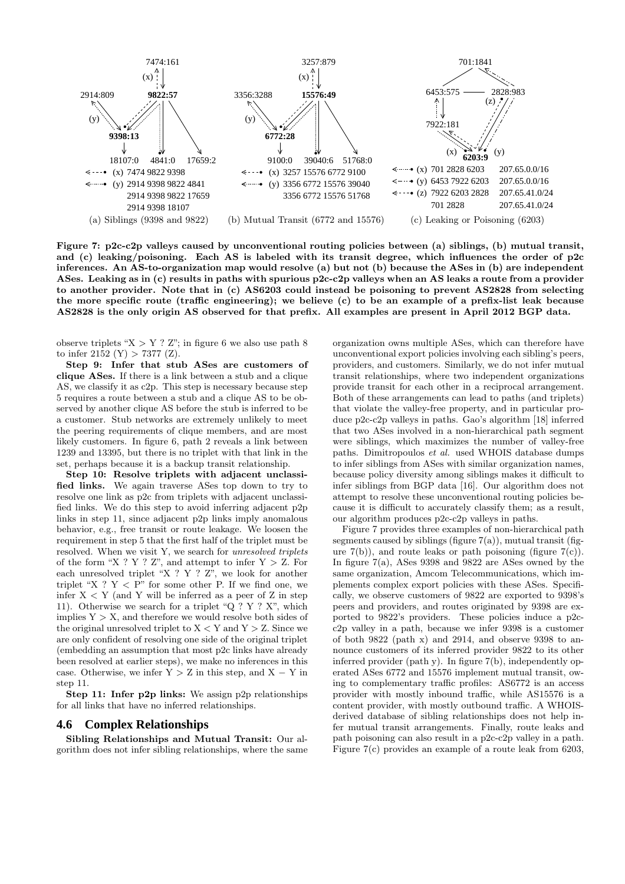

Figure 7: p2c-c2p valleys caused by unconventional routing policies between (a) siblings, (b) mutual transit, and (c) leaking/poisoning. Each AS is labeled with its transit degree, which influences the order of p2c inferences. An AS-to-organization map would resolve (a) but not (b) because the ASes in (b) are independent ASes. Leaking as in (c) results in paths with spurious p2c-c2p valleys when an AS leaks a route from a provider to another provider. Note that in (c) AS6203 could instead be poisoning to prevent AS2828 from selecting the more specific route (traffic engineering); we believe (c) to be an example of a prefix-list leak because AS2828 is the only origin AS observed for that prefix. All examples are present in April 2012 BGP data.

observe triplets " $X > Y$  ?  $Z$ "; in figure 6 we also use path 8 to infer 2152 (Y)  $> 7377$  (Z).

Step 9: Infer that stub ASes are customers of clique ASes. If there is a link between a stub and a clique AS, we classify it as c2p. This step is necessary because step 5 requires a route between a stub and a clique AS to be observed by another clique AS before the stub is inferred to be a customer. Stub networks are extremely unlikely to meet the peering requirements of clique members, and are most likely customers. In figure 6, path 2 reveals a link between 1239 and 13395, but there is no triplet with that link in the set, perhaps because it is a backup transit relationship.

Step 10: Resolve triplets with adjacent unclassified links. We again traverse ASes top down to try to resolve one link as p2c from triplets with adjacent unclassified links. We do this step to avoid inferring adjacent p2p links in step 11, since adjacent p2p links imply anomalous behavior, e.g., free transit or route leakage. We loosen the requirement in step 5 that the first half of the triplet must be resolved. When we visit Y, we search for unresolved triplets of the form "X ? Y ? Z", and attempt to infer  $Y > Z$ . For each unresolved triplet "X ? Y ? Z", we look for another triplet "X ?  $Y < P$ " for some other P. If we find one, we infer  $X < Y$  (and Y will be inferred as a peer of Z in step 11). Otherwise we search for a triplet "Q ? Y ? X", which implies  $Y > X$ , and therefore we would resolve both sides of the original unresolved triplet to  $X < Y$  and  $Y > Z$ . Since we are only confident of resolving one side of the original triplet (embedding an assumption that most p2c links have already been resolved at earlier steps), we make no inferences in this case. Otherwise, we infer  $Y > Z$  in this step, and  $X - Y$  in step 11.

Step 11: Infer p2p links: We assign p2p relationships for all links that have no inferred relationships.

#### **4.6 Complex Relationships**

Sibling Relationships and Mutual Transit: Our algorithm does not infer sibling relationships, where the same organization owns multiple ASes, which can therefore have unconventional export policies involving each sibling's peers, providers, and customers. Similarly, we do not infer mutual transit relationships, where two independent organizations provide transit for each other in a reciprocal arrangement. Both of these arrangements can lead to paths (and triplets) that violate the valley-free property, and in particular produce p2c-c2p valleys in paths. Gao's algorithm [18] inferred that two ASes involved in a non-hierarchical path segment were siblings, which maximizes the number of valley-free paths. Dimitropoulos et al. used WHOIS database dumps to infer siblings from ASes with similar organization names, because policy diversity among siblings makes it difficult to infer siblings from BGP data [16]. Our algorithm does not attempt to resolve these unconventional routing policies because it is difficult to accurately classify them; as a result, our algorithm produces p2c-c2p valleys in paths.

Figure 7 provides three examples of non-hierarchical path segments caused by siblings (figure  $7(a)$ ), mutual transit (figure  $7(b)$ , and route leaks or path poisoning (figure  $7(c)$ ). In figure 7(a), ASes 9398 and 9822 are ASes owned by the same organization, Amcom Telecommunications, which implements complex export policies with these ASes. Specifically, we observe customers of 9822 are exported to 9398's peers and providers, and routes originated by 9398 are exported to 9822's providers. These policies induce a p2cc2p valley in a path, because we infer 9398 is a customer of both 9822 (path x) and 2914, and observe 9398 to announce customers of its inferred provider 9822 to its other inferred provider (path y). In figure 7(b), independently operated ASes 6772 and 15576 implement mutual transit, owing to complementary traffic profiles: AS6772 is an access provider with mostly inbound traffic, while AS15576 is a content provider, with mostly outbound traffic. A WHOISderived database of sibling relationships does not help infer mutual transit arrangements. Finally, route leaks and path poisoning can also result in a p2c-c2p valley in a path. Figure 7(c) provides an example of a route leak from 6203,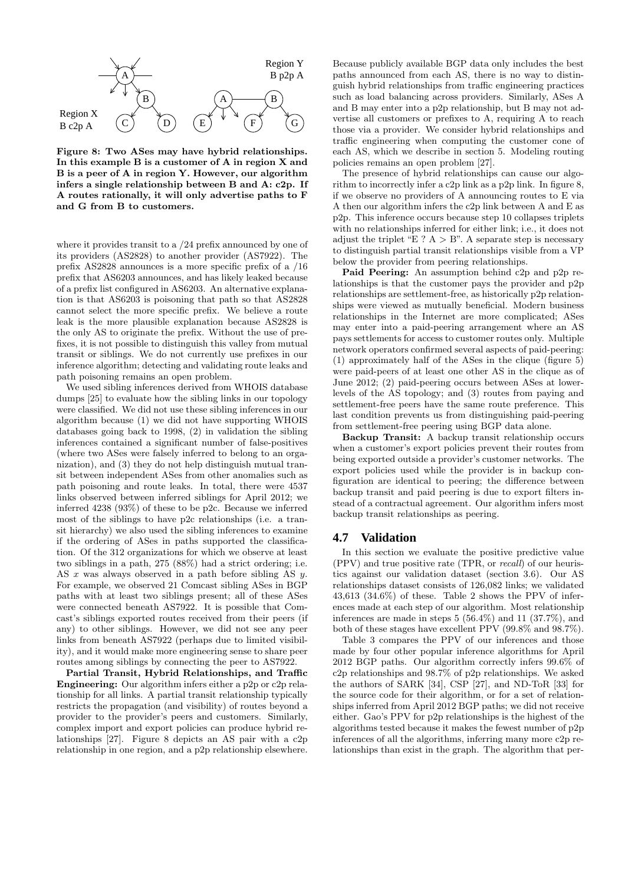

Figure 8: Two ASes may have hybrid relationships. In this example B is a customer of A in region X and B is a peer of A in region Y. However, our algorithm infers a single relationship between B and A: c2p. If A routes rationally, it will only advertise paths to F and G from B to customers.

where it provides transit to a /24 prefix announced by one of its providers (AS2828) to another provider (AS7922). The prefix AS2828 announces is a more specific prefix of a /16 prefix that AS6203 announces, and has likely leaked because of a prefix list configured in AS6203. An alternative explanation is that AS6203 is poisoning that path so that AS2828 cannot select the more specific prefix. We believe a route leak is the more plausible explanation because AS2828 is the only AS to originate the prefix. Without the use of prefixes, it is not possible to distinguish this valley from mutual transit or siblings. We do not currently use prefixes in our inference algorithm; detecting and validating route leaks and path poisoning remains an open problem.

We used sibling inferences derived from WHOIS database dumps [25] to evaluate how the sibling links in our topology were classified. We did not use these sibling inferences in our algorithm because (1) we did not have supporting WHOIS databases going back to 1998, (2) in validation the sibling inferences contained a significant number of false-positives (where two ASes were falsely inferred to belong to an organization), and (3) they do not help distinguish mutual transit between independent ASes from other anomalies such as path poisoning and route leaks. In total, there were 4537 links observed between inferred siblings for April 2012; we inferred 4238 (93%) of these to be p2c. Because we inferred most of the siblings to have p2c relationships (i.e. a transit hierarchy) we also used the sibling inferences to examine if the ordering of ASes in paths supported the classification. Of the 312 organizations for which we observe at least two siblings in a path, 275 (88%) had a strict ordering; i.e. AS  $x$  was always observed in a path before sibling AS  $y$ . For example, we observed 21 Comcast sibling ASes in BGP paths with at least two siblings present; all of these ASes were connected beneath AS7922. It is possible that Comcast's siblings exported routes received from their peers (if any) to other siblings. However, we did not see any peer links from beneath AS7922 (perhaps due to limited visibility), and it would make more engineering sense to share peer routes among siblings by connecting the peer to AS7922.

Partial Transit, Hybrid Relationships, and Traffic Engineering: Our algorithm infers either a p2p or c2p relationship for all links. A partial transit relationship typically restricts the propagation (and visibility) of routes beyond a provider to the provider's peers and customers. Similarly, complex import and export policies can produce hybrid relationships [27]. Figure 8 depicts an AS pair with a c2p relationship in one region, and a p2p relationship elsewhere.

Because publicly available BGP data only includes the best paths announced from each AS, there is no way to distinguish hybrid relationships from traffic engineering practices such as load balancing across providers. Similarly, ASes A and B may enter into a p2p relationship, but B may not advertise all customers or prefixes to A, requiring A to reach those via a provider. We consider hybrid relationships and traffic engineering when computing the customer cone of each AS, which we describe in section 5. Modeling routing policies remains an open problem [27].

The presence of hybrid relationships can cause our algorithm to incorrectly infer a c2p link as a p2p link. In figure 8, if we observe no providers of A announcing routes to E via A then our algorithm infers the c2p link between A and E as p2p. This inference occurs because step 10 collapses triplets with no relationships inferred for either link; i.e., it does not adjust the triplet "E ? A > B". A separate step is necessary to distinguish partial transit relationships visible from a VP below the provider from peering relationships.

Paid Peering: An assumption behind c2p and p2p relationships is that the customer pays the provider and p2p relationships are settlement-free, as historically p2p relationships were viewed as mutually beneficial. Modern business relationships in the Internet are more complicated; ASes may enter into a paid-peering arrangement where an AS pays settlements for access to customer routes only. Multiple network operators confirmed several aspects of paid-peering: (1) approximately half of the ASes in the clique (figure 5) were paid-peers of at least one other AS in the clique as of June 2012; (2) paid-peering occurs between ASes at lowerlevels of the AS topology; and (3) routes from paying and settlement-free peers have the same route preference. This last condition prevents us from distinguishing paid-peering from settlement-free peering using BGP data alone.

Backup Transit: A backup transit relationship occurs when a customer's export policies prevent their routes from being exported outside a provider's customer networks. The export policies used while the provider is in backup configuration are identical to peering; the difference between backup transit and paid peering is due to export filters instead of a contractual agreement. Our algorithm infers most backup transit relationships as peering.

## **4.7 Validation**

In this section we evaluate the positive predictive value (PPV) and true positive rate (TPR, or recall) of our heuristics against our validation dataset (section 3.6). Our AS relationships dataset consists of 126,082 links; we validated 43,613 (34.6%) of these. Table 2 shows the PPV of inferences made at each step of our algorithm. Most relationship inferences are made in steps  $5(56.4\%)$  and  $11(37.7\%)$ , and both of these stages have excellent PPV (99.8% and 98.7%).

Table 3 compares the PPV of our inferences and those made by four other popular inference algorithms for April 2012 BGP paths. Our algorithm correctly infers 99.6% of c2p relationships and 98.7% of p2p relationships. We asked the authors of SARK [34], CSP [27], and ND-ToR [33] for the source code for their algorithm, or for a set of relationships inferred from April 2012 BGP paths; we did not receive either. Gao's PPV for p2p relationships is the highest of the algorithms tested because it makes the fewest number of p2p inferences of all the algorithms, inferring many more c2p relationships than exist in the graph. The algorithm that per-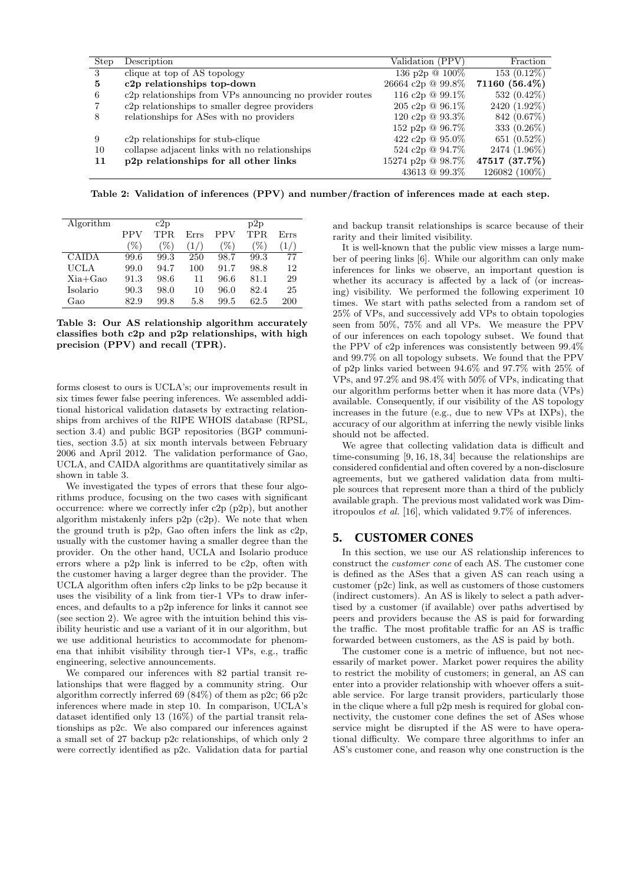| <b>Step</b> | Description                                                           | Validation (PPV)              | Fraction       |
|-------------|-----------------------------------------------------------------------|-------------------------------|----------------|
| 3           | clique at top of AS topology                                          | 136 p2p $@100\%$              | $153(0.12\%)$  |
| 5           | c <sub>2p</sub> relationships top-down                                | 26664 c2p @ 99.8%             | 71160 (56.4%)  |
| 6           | c <sub>2</sub> p relationships from VPs announcing no provider routes | 116 c2p $@99.1\%$             | 532 $(0.42\%)$ |
|             | c2p relationships to smaller degree providers                         | $205$ c2p $@$ 96.1%           | 2420 (1.92%)   |
| 8           | relationships for ASes with no providers                              | 120 c <sub>2p</sub> $@93.3\%$ | 842 (0.67%)    |
|             |                                                                       | 152 p2p @ 96.7%               | 333 $(0.26\%)$ |
| 9           | c <sub>2</sub> p relationships for stub-clique                        | 422 c2p $@ 95.0\%$            | 651 $(0.52\%)$ |
| 10          | collapse adjacent links with no relationships                         | 524 c2p @ 94.7%               | 2474 (1.96%)   |
| 11          | p2p relationships for all other links                                 | 15274 p2p @ 98.7%             | 47517 (37.7%)  |
|             |                                                                       | 43613 @ 99.3%                 | 126082 (100\%) |

Table 2: Validation of inferences (PPV) and number/fraction of inferences made at each step.

| Algorithm    |            | c2p    |      |        | p2p    |      |
|--------------|------------|--------|------|--------|--------|------|
|              | <b>PPV</b> | TPR.   | Errs | PPV    | TPR.   | Errs |
|              | $(\%)$     | $(\%)$ | (1/) | $(\%)$ | $(\%)$ |      |
| <b>CAIDA</b> | 99.6       | 99.3   | 250  | 98.7   | 99.3   | 77   |
| <b>UCLA</b>  | 99.0       | 94.7   | 100  | 91.7   | 98.8   | 12   |
| $Xia+Gao$    | 91.3       | 98.6   | 11   | 96.6   | 81.1   | 29   |
| Isolario     | 90.3       | 98.0   | 10   | 96.0   | 82.4   | 25   |
| Gao          | 82.9       | 99.8   | 5.8  | 99.5   | 62.5   | 200  |

Table 3: Our AS relationship algorithm accurately classifies both c2p and p2p relationships, with high precision (PPV) and recall (TPR).

forms closest to ours is UCLA's; our improvements result in six times fewer false peering inferences. We assembled additional historical validation datasets by extracting relationships from archives of the RIPE WHOIS database (RPSL, section 3.4) and public BGP repositories (BGP communities, section 3.5) at six month intervals between February 2006 and April 2012. The validation performance of Gao, UCLA, and CAIDA algorithms are quantitatively similar as shown in table 3.

We investigated the types of errors that these four algorithms produce, focusing on the two cases with significant occurrence: where we correctly infer c2p (p2p), but another algorithm mistakenly infers  $p2p$  (c2p). We note that when the ground truth is p2p, Gao often infers the link as c2p, usually with the customer having a smaller degree than the provider. On the other hand, UCLA and Isolario produce errors where a p2p link is inferred to be c2p, often with the customer having a larger degree than the provider. The UCLA algorithm often infers c2p links to be p2p because it uses the visibility of a link from tier-1 VPs to draw inferences, and defaults to a p2p inference for links it cannot see (see section 2). We agree with the intuition behind this visibility heuristic and use a variant of it in our algorithm, but we use additional heuristics to accommodate for phenomena that inhibit visibility through tier-1 VPs, e.g., traffic engineering, selective announcements.

We compared our inferences with 82 partial transit relationships that were flagged by a community string. Our algorithm correctly inferred 69 (84%) of them as p2c; 66 p2c inferences where made in step 10. In comparison, UCLA's dataset identified only 13 (16%) of the partial transit relationships as p2c. We also compared our inferences against a small set of 27 backup p2c relationships, of which only 2 were correctly identified as p2c. Validation data for partial and backup transit relationships is scarce because of their rarity and their limited visibility.

It is well-known that the public view misses a large number of peering links [6]. While our algorithm can only make inferences for links we observe, an important question is whether its accuracy is affected by a lack of (or increasing) visibility. We performed the following experiment 10 times. We start with paths selected from a random set of 25% of VPs, and successively add VPs to obtain topologies seen from 50%, 75% and all VPs. We measure the PPV of our inferences on each topology subset. We found that the PPV of c2p inferences was consistently between 99.4% and 99.7% on all topology subsets. We found that the PPV of p2p links varied between 94.6% and 97.7% with 25% of VPs, and 97.2% and 98.4% with 50% of VPs, indicating that our algorithm performs better when it has more data (VPs) available. Consequently, if our visibility of the AS topology increases in the future (e.g., due to new VPs at IXPs), the accuracy of our algorithm at inferring the newly visible links should not be affected.

We agree that collecting validation data is difficult and time-consuming [9, 16, 18, 34] because the relationships are considered confidential and often covered by a non-disclosure agreements, but we gathered validation data from multiple sources that represent more than a third of the publicly available graph. The previous most validated work was Dimitropoulos et al. [16], which validated 9.7% of inferences.

## **5. CUSTOMER CONES**

In this section, we use our AS relationship inferences to construct the customer cone of each AS. The customer cone is defined as the ASes that a given AS can reach using a customer (p2c) link, as well as customers of those customers (indirect customers). An AS is likely to select a path advertised by a customer (if available) over paths advertised by peers and providers because the AS is paid for forwarding the traffic. The most profitable traffic for an AS is traffic forwarded between customers, as the AS is paid by both.

The customer cone is a metric of influence, but not necessarily of market power. Market power requires the ability to restrict the mobility of customers; in general, an AS can enter into a provider relationship with whoever offers a suitable service. For large transit providers, particularly those in the clique where a full p2p mesh is required for global connectivity, the customer cone defines the set of ASes whose service might be disrupted if the AS were to have operational difficulty. We compare three algorithms to infer an AS's customer cone, and reason why one construction is the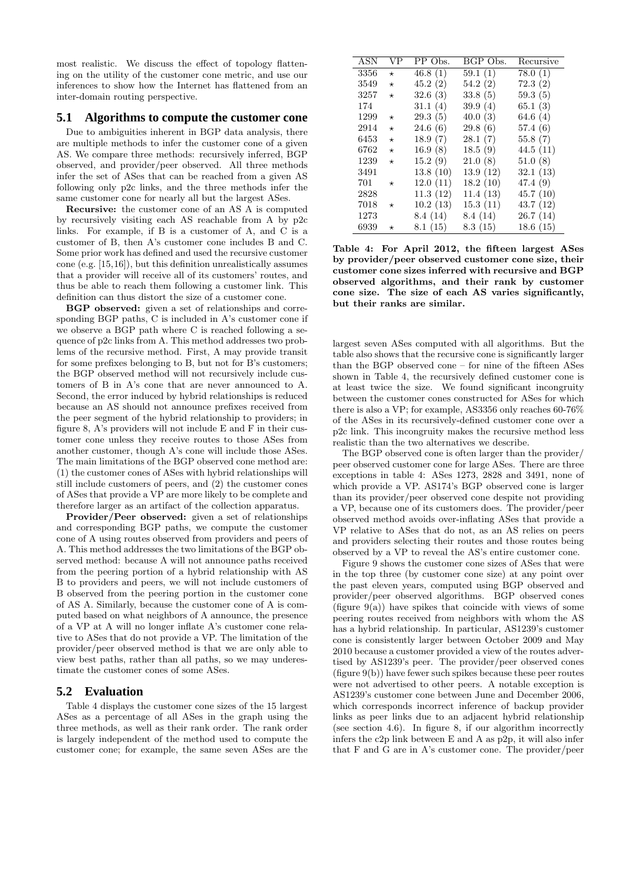most realistic. We discuss the effect of topology flattening on the utility of the customer cone metric, and use our inferences to show how the Internet has flattened from an inter-domain routing perspective.

#### **5.1 Algorithms to compute the customer cone**

Due to ambiguities inherent in BGP data analysis, there are multiple methods to infer the customer cone of a given AS. We compare three methods: recursively inferred, BGP observed, and provider/peer observed. All three methods infer the set of ASes that can be reached from a given AS following only p2c links, and the three methods infer the same customer cone for nearly all but the largest ASes.

Recursive: the customer cone of an AS A is computed by recursively visiting each AS reachable from A by p2c links. For example, if B is a customer of A, and C is a customer of B, then A's customer cone includes B and C. Some prior work has defined and used the recursive customer cone (e.g. [15,16]), but this definition unrealistically assumes that a provider will receive all of its customers' routes, and thus be able to reach them following a customer link. This definition can thus distort the size of a customer cone.

BGP observed: given a set of relationships and corresponding BGP paths, C is included in A's customer cone if we observe a BGP path where C is reached following a sequence of p2c links from A. This method addresses two problems of the recursive method. First, A may provide transit for some prefixes belonging to B, but not for B's customers; the BGP observed method will not recursively include customers of B in A's cone that are never announced to A. Second, the error induced by hybrid relationships is reduced because an AS should not announce prefixes received from the peer segment of the hybrid relationship to providers; in figure 8, A's providers will not include E and F in their customer cone unless they receive routes to those ASes from another customer, though A's cone will include those ASes. The main limitations of the BGP observed cone method are: (1) the customer cones of ASes with hybrid relationships will still include customers of peers, and (2) the customer cones of ASes that provide a VP are more likely to be complete and therefore larger as an artifact of the collection apparatus.

Provider/Peer observed: given a set of relationships and corresponding BGP paths, we compute the customer cone of A using routes observed from providers and peers of A. This method addresses the two limitations of the BGP observed method: because A will not announce paths received from the peering portion of a hybrid relationship with AS B to providers and peers, we will not include customers of B observed from the peering portion in the customer cone of AS A. Similarly, because the customer cone of A is computed based on what neighbors of A announce, the presence of a VP at A will no longer inflate A's customer cone relative to ASes that do not provide a VP. The limitation of the provider/peer observed method is that we are only able to view best paths, rather than all paths, so we may underestimate the customer cones of some ASes.

#### **5.2 Evaluation**

Table 4 displays the customer cone sizes of the 15 largest ASes as a percentage of all ASes in the graph using the three methods, as well as their rank order. The rank order is largely independent of the method used to compute the customer cone; for example, the same seven ASes are the

| <b>ASN</b> | <b>VP</b>  | PP Obs.  | BGP Obs. | Recursive  |
|------------|------------|----------|----------|------------|
| 3356       | $^{\star}$ | 46.8(1)  | 59.1(1)  | 78.0(1)    |
| 3549       | $^{\star}$ | 45.2(2)  | 54.2(2)  | 72.3(2)    |
| 3257       | $^{\star}$ | 32.6(3)  | 33.8(5)  | 59.3(5)    |
| 174        |            | 31.1(4)  | 39.9(4)  | 65.1(3)    |
| 1299       | $^\star$   | 29.3(5)  | 40.0(3)  | 64.6 $(4)$ |
| 2914       | $^\star$   | 24.6(6)  | 29.8(6)  | 57.4(6)    |
| 6453       | $^{\star}$ | 18.9(7)  | 28.1(7)  | 55.8(7)    |
| 6762       | $^{\star}$ | 16.9(8)  | 18.5(9)  | 44.5(11)   |
| 1239       | $^{\star}$ | 15.2(9)  | 21.0(8)  | 51.0(8)    |
| 3491       |            | 13.8(10) | 13.9(12) | 32.1(13)   |
| 701        | $^\star$   | 12.0(11) | 18.2(10) | 47.4 (9)   |
| 2828       |            | 11.3(12) | 11.4(13) | 45.7(10)   |
| 7018       | $^\star$   | 10.2(13) | 15.3(11) | 43.7(12)   |
| 1273       |            | 8.4 (14) | 8.4 (14) | 26.7(14)   |
| 6939       | $^\star$   | 8.1(15)  | 8.3(15)  | 18.6(15)   |

Table 4: For April 2012, the fifteen largest ASes by provider/peer observed customer cone size, their customer cone sizes inferred with recursive and BGP observed algorithms, and their rank by customer cone size. The size of each AS varies significantly, but their ranks are similar.

largest seven ASes computed with all algorithms. But the table also shows that the recursive cone is significantly larger than the BGP observed cone – for nine of the fifteen ASes shown in Table 4, the recursively defined customer cone is at least twice the size. We found significant incongruity between the customer cones constructed for ASes for which there is also a VP; for example, AS3356 only reaches 60-76% of the ASes in its recursively-defined customer cone over a p2c link. This incongruity makes the recursive method less realistic than the two alternatives we describe.

The BGP observed cone is often larger than the provider/ peer observed customer cone for large ASes. There are three exceptions in table 4: ASes 1273, 2828 and 3491, none of which provide a VP. AS174's BGP observed cone is larger than its provider/peer observed cone despite not providing a VP, because one of its customers does. The provider/peer observed method avoids over-inflating ASes that provide a VP relative to ASes that do not, as an AS relies on peers and providers selecting their routes and those routes being observed by a VP to reveal the AS's entire customer cone.

Figure 9 shows the customer cone sizes of ASes that were in the top three (by customer cone size) at any point over the past eleven years, computed using BGP observed and provider/peer observed algorithms. BGP observed cones (figure  $9(a)$ ) have spikes that coincide with views of some peering routes received from neighbors with whom the AS has a hybrid relationship. In particular, AS1239's customer cone is consistently larger between October 2009 and May 2010 because a customer provided a view of the routes advertised by AS1239's peer. The provider/peer observed cones (figure 9(b)) have fewer such spikes because these peer routes were not advertised to other peers. A notable exception is AS1239's customer cone between June and December 2006, which corresponds incorrect inference of backup provider links as peer links due to an adjacent hybrid relationship (see section 4.6). In figure 8, if our algorithm incorrectly infers the c2p link between E and A as p2p, it will also infer that F and G are in A's customer cone. The provider/peer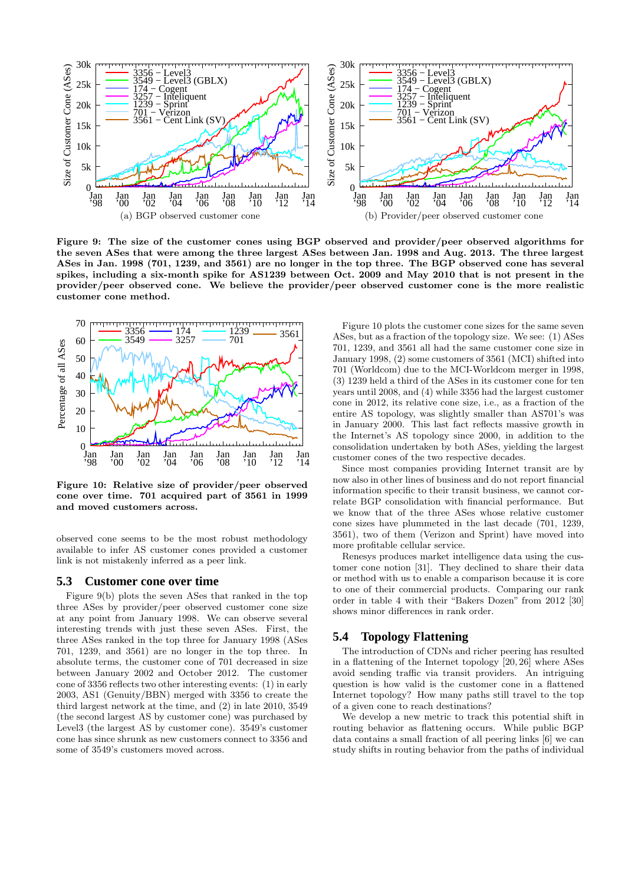

Figure 9: The size of the customer cones using BGP observed and provider/peer observed algorithms for the seven ASes that were among the three largest ASes between Jan. 1998 and Aug. 2013. The three largest ASes in Jan. 1998 (701, 1239, and 3561) are no longer in the top three. The BGP observed cone has several spikes, including a six-month spike for AS1239 between Oct. 2009 and May 2010 that is not present in the provider/peer observed cone. We believe the provider/peer observed customer cone is the more realistic customer cone method.



Figure 10: Relative size of provider/peer observed cone over time. 701 acquired part of 3561 in 1999 and moved customers across.

observed cone seems to be the most robust methodology available to infer AS customer cones provided a customer link is not mistakenly inferred as a peer link.

#### **5.3 Customer cone over time**

Figure 9(b) plots the seven ASes that ranked in the top three ASes by provider/peer observed customer cone size at any point from January 1998. We can observe several interesting trends with just these seven ASes. First, the three ASes ranked in the top three for January 1998 (ASes 701, 1239, and 3561) are no longer in the top three. In absolute terms, the customer cone of 701 decreased in size between January 2002 and October 2012. The customer cone of 3356 reflects two other interesting events: (1) in early 2003, AS1 (Genuity/BBN) merged with 3356 to create the third largest network at the time, and (2) in late 2010, 3549 (the second largest AS by customer cone) was purchased by Level3 (the largest AS by customer cone). 3549's customer cone has since shrunk as new customers connect to 3356 and some of 3549's customers moved across.

Figure 10 plots the customer cone sizes for the same seven ASes, but as a fraction of the topology size. We see: (1) ASes 701, 1239, and 3561 all had the same customer cone size in January 1998, (2) some customers of 3561 (MCI) shifted into 701 (Worldcom) due to the MCI-Worldcom merger in 1998, (3) 1239 held a third of the ASes in its customer cone for ten years until 2008, and (4) while 3356 had the largest customer cone in 2012, its relative cone size, i.e., as a fraction of the entire AS topology, was slightly smaller than AS701's was in January 2000. This last fact reflects massive growth in the Internet's AS topology since 2000, in addition to the consolidation undertaken by both ASes, yielding the largest customer cones of the two respective decades.

Since most companies providing Internet transit are by now also in other lines of business and do not report financial information specific to their transit business, we cannot correlate BGP consolidation with financial performance. But we know that of the three ASes whose relative customer cone sizes have plummeted in the last decade (701, 1239, 3561), two of them (Verizon and Sprint) have moved into more profitable cellular service.

Renesys produces market intelligence data using the customer cone notion [31]. They declined to share their data or method with us to enable a comparison because it is core to one of their commercial products. Comparing our rank order in table 4 with their "Bakers Dozen" from 2012 [30] shows minor differences in rank order.

## **5.4 Topology Flattening**

The introduction of CDNs and richer peering has resulted in a flattening of the Internet topology [20, 26] where ASes avoid sending traffic via transit providers. An intriguing question is how valid is the customer cone in a flattened Internet topology? How many paths still travel to the top of a given cone to reach destinations?

We develop a new metric to track this potential shift in routing behavior as flattening occurs. While public BGP data contains a small fraction of all peering links [6] we can study shifts in routing behavior from the paths of individual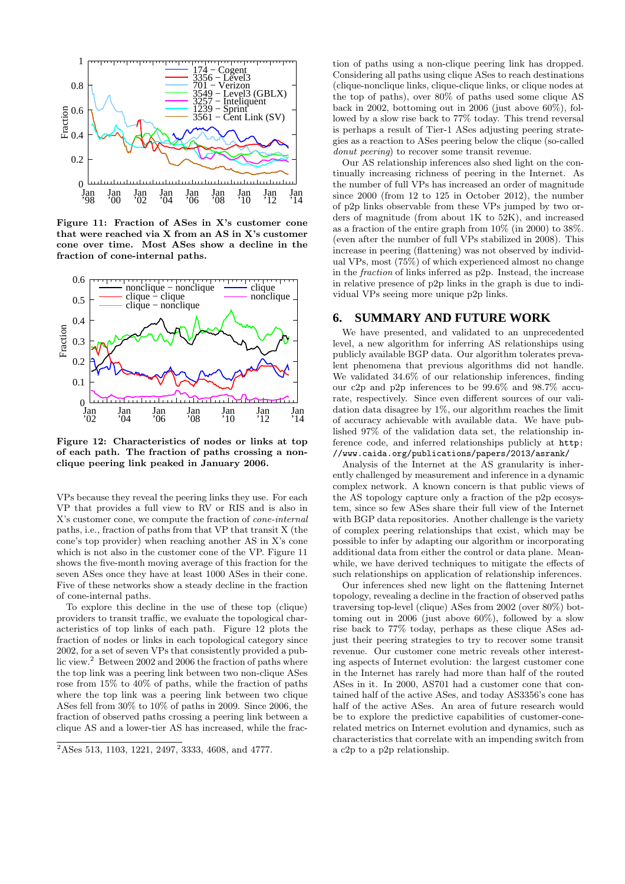

Figure 11: Fraction of ASes in X's customer cone that were reached via X from an AS in X's customer cone over time. Most ASes show a decline in the fraction of cone-internal paths.



Figure 12: Characteristics of nodes or links at top of each path. The fraction of paths crossing a nonclique peering link peaked in January 2006.

VPs because they reveal the peering links they use. For each VP that provides a full view to RV or RIS and is also in X's customer cone, we compute the fraction of cone-internal paths, i.e., fraction of paths from that VP that transit X (the cone's top provider) when reaching another AS in X's cone which is not also in the customer cone of the VP. Figure 11 shows the five-month moving average of this fraction for the seven ASes once they have at least 1000 ASes in their cone. Five of these networks show a steady decline in the fraction of cone-internal paths.

To explore this decline in the use of these top (clique) providers to transit traffic, we evaluate the topological characteristics of top links of each path. Figure 12 plots the fraction of nodes or links in each topological category since 2002, for a set of seven VPs that consistently provided a public view.<sup>2</sup> Between 2002 and 2006 the fraction of paths where the top link was a peering link between two non-clique ASes rose from 15% to 40% of paths, while the fraction of paths where the top link was a peering link between two clique ASes fell from 30% to 10% of paths in 2009. Since 2006, the fraction of observed paths crossing a peering link between a clique AS and a lower-tier AS has increased, while the frac-

tion of paths using a non-clique peering link has dropped. Considering all paths using clique ASes to reach destinations (clique-nonclique links, clique-clique links, or clique nodes at the top of paths), over 80% of paths used some clique AS back in 2002, bottoming out in 2006 (just above 60%), followed by a slow rise back to 77% today. This trend reversal is perhaps a result of Tier-1 ASes adjusting peering strategies as a reaction to ASes peering below the clique (so-called donut peering) to recover some transit revenue.

Our AS relationship inferences also shed light on the continually increasing richness of peering in the Internet. As the number of full VPs has increased an order of magnitude since 2000 (from 12 to 125 in October 2012), the number of p2p links observable from these VPs jumped by two orders of magnitude (from about 1K to 52K), and increased as a fraction of the entire graph from 10% (in 2000) to 38%. (even after the number of full VPs stabilized in 2008). This increase in peering (flattening) was not observed by individual VPs, most (75%) of which experienced almost no change in the fraction of links inferred as p2p. Instead, the increase in relative presence of p2p links in the graph is due to individual VPs seeing more unique p2p links.

#### **6. SUMMARY AND FUTURE WORK**

We have presented, and validated to an unprecedented level, a new algorithm for inferring AS relationships using publicly available BGP data. Our algorithm tolerates prevalent phenomena that previous algorithms did not handle. We validated 34.6% of our relationship inferences, finding our c2p and p2p inferences to be 99.6% and 98.7% accurate, respectively. Since even different sources of our validation data disagree by 1%, our algorithm reaches the limit of accuracy achievable with available data. We have published 97% of the validation data set, the relationship inference code, and inferred relationships publicly at http: //www.caida.org/publications/papers/2013/asrank/

Analysis of the Internet at the AS granularity is inherently challenged by measurement and inference in a dynamic complex network. A known concern is that public views of the AS topology capture only a fraction of the p2p ecosystem, since so few ASes share their full view of the Internet with BGP data repositories. Another challenge is the variety of complex peering relationships that exist, which may be possible to infer by adapting our algorithm or incorporating additional data from either the control or data plane. Meanwhile, we have derived techniques to mitigate the effects of such relationships on application of relationship inferences.

Our inferences shed new light on the flattening Internet topology, revealing a decline in the fraction of observed paths traversing top-level (clique) ASes from 2002 (over 80%) bottoming out in 2006 (just above  $60\%$ ), followed by a slow rise back to 77% today, perhaps as these clique ASes adjust their peering strategies to try to recover some transit revenue. Our customer cone metric reveals other interesting aspects of Internet evolution: the largest customer cone in the Internet has rarely had more than half of the routed ASes in it. In 2000, AS701 had a customer cone that contained half of the active ASes, and today AS3356's cone has half of the active ASes. An area of future research would be to explore the predictive capabilities of customer-conerelated metrics on Internet evolution and dynamics, such as characteristics that correlate with an impending switch from a c2p to a p2p relationship.

<sup>2</sup>ASes 513, 1103, 1221, 2497, 3333, 4608, and 4777.